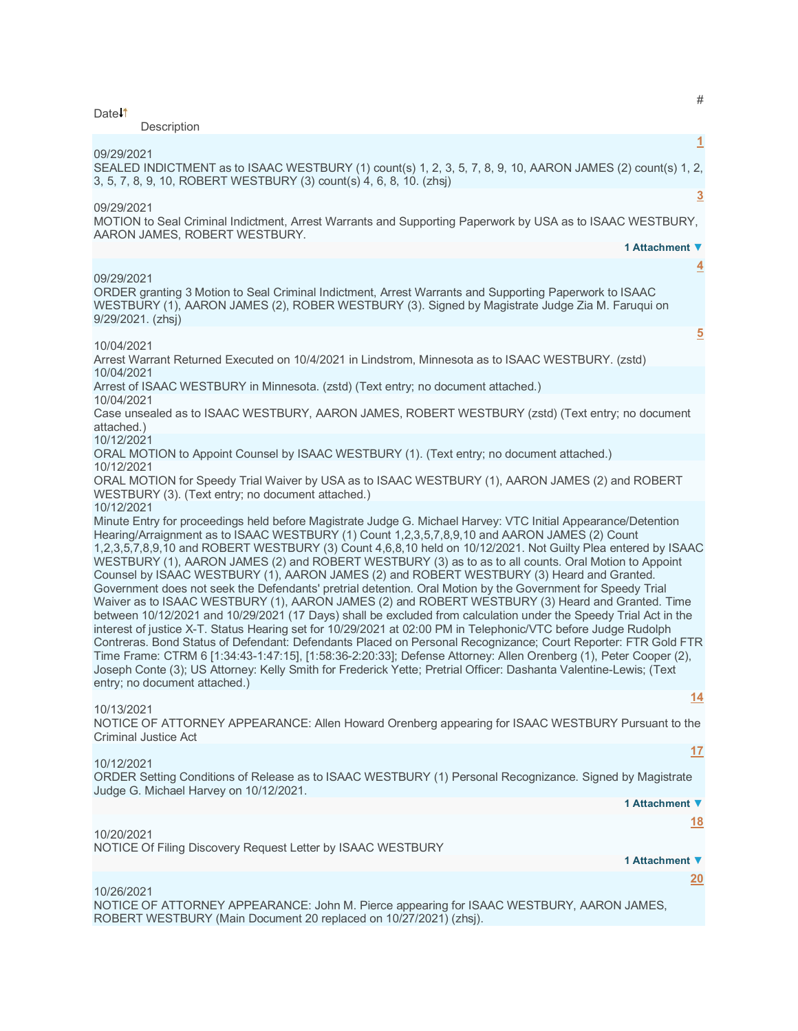| Date <sup>1</sup>               | #<br>Description                                                                                                                                                                                                                                                                                                                                                                                                                                                                                                                                                                                                                                                                                                                                                                                                                                                                                                                                                                                                                                                                                                                                                                                                                                                                                                                                                                       |
|---------------------------------|----------------------------------------------------------------------------------------------------------------------------------------------------------------------------------------------------------------------------------------------------------------------------------------------------------------------------------------------------------------------------------------------------------------------------------------------------------------------------------------------------------------------------------------------------------------------------------------------------------------------------------------------------------------------------------------------------------------------------------------------------------------------------------------------------------------------------------------------------------------------------------------------------------------------------------------------------------------------------------------------------------------------------------------------------------------------------------------------------------------------------------------------------------------------------------------------------------------------------------------------------------------------------------------------------------------------------------------------------------------------------------------|
| 09/29/2021                      | $\overline{1}$<br>SEALED INDICTMENT as to ISAAC WESTBURY (1) count(s) 1, 2, 3, 5, 7, 8, 9, 10, AARON JAMES (2) count(s) 1, 2,<br>3, 5, 7, 8, 9, 10, ROBERT WESTBURY (3) count(s) 4, 6, 8, 10. (zhsj)                                                                                                                                                                                                                                                                                                                                                                                                                                                                                                                                                                                                                                                                                                                                                                                                                                                                                                                                                                                                                                                                                                                                                                                   |
| 09/29/2021                      | $\overline{3}$<br>MOTION to Seal Criminal Indictment, Arrest Warrants and Supporting Paperwork by USA as to ISAAC WESTBURY,<br>AARON JAMES, ROBERT WESTBURY.<br>1 Attachment ▼                                                                                                                                                                                                                                                                                                                                                                                                                                                                                                                                                                                                                                                                                                                                                                                                                                                                                                                                                                                                                                                                                                                                                                                                         |
| 09/29/2021<br>9/29/2021. (zhsj) | $\overline{4}$<br>ORDER granting 3 Motion to Seal Criminal Indictment, Arrest Warrants and Supporting Paperwork to ISAAC<br>WESTBURY (1), AARON JAMES (2), ROBER WESTBURY (3). Signed by Magistrate Judge Zia M. Faruqui on                                                                                                                                                                                                                                                                                                                                                                                                                                                                                                                                                                                                                                                                                                                                                                                                                                                                                                                                                                                                                                                                                                                                                            |
| 10/04/2021                      | $\overline{5}$<br>Arrest Warrant Returned Executed on 10/4/2021 in Lindstrom, Minnesota as to ISAAC WESTBURY. (zstd)                                                                                                                                                                                                                                                                                                                                                                                                                                                                                                                                                                                                                                                                                                                                                                                                                                                                                                                                                                                                                                                                                                                                                                                                                                                                   |
| 10/04/2021                      | Arrest of ISAAC WESTBURY in Minnesota. (zstd) (Text entry; no document attached.)                                                                                                                                                                                                                                                                                                                                                                                                                                                                                                                                                                                                                                                                                                                                                                                                                                                                                                                                                                                                                                                                                                                                                                                                                                                                                                      |
| 10/04/2021<br>attached.)        | Case unsealed as to ISAAC WESTBURY, AARON JAMES, ROBERT WESTBURY (zstd) (Text entry; no document                                                                                                                                                                                                                                                                                                                                                                                                                                                                                                                                                                                                                                                                                                                                                                                                                                                                                                                                                                                                                                                                                                                                                                                                                                                                                       |
| 10/12/2021                      | ORAL MOTION to Appoint Counsel by ISAAC WESTBURY (1). (Text entry; no document attached.)                                                                                                                                                                                                                                                                                                                                                                                                                                                                                                                                                                                                                                                                                                                                                                                                                                                                                                                                                                                                                                                                                                                                                                                                                                                                                              |
| 10/12/2021                      | ORAL MOTION for Speedy Trial Waiver by USA as to ISAAC WESTBURY (1), AARON JAMES (2) and ROBERT<br>WESTBURY (3). (Text entry; no document attached.)                                                                                                                                                                                                                                                                                                                                                                                                                                                                                                                                                                                                                                                                                                                                                                                                                                                                                                                                                                                                                                                                                                                                                                                                                                   |
| 10/12/2021                      | Minute Entry for proceedings held before Magistrate Judge G. Michael Harvey: VTC Initial Appearance/Detention<br>Hearing/Arraignment as to ISAAC WESTBURY (1) Count 1,2,3,5,7,8,9,10 and AARON JAMES (2) Count<br>1,2,3,5,7,8,9,10 and ROBERT WESTBURY (3) Count 4,6,8,10 held on 10/12/2021. Not Guilty Plea entered by ISAAC<br>WESTBURY (1), AARON JAMES (2) and ROBERT WESTBURY (3) as to as to all counts. Oral Motion to Appoint<br>Counsel by ISAAC WESTBURY (1), AARON JAMES (2) and ROBERT WESTBURY (3) Heard and Granted.<br>Government does not seek the Defendants' pretrial detention. Oral Motion by the Government for Speedy Trial<br>Waiver as to ISAAC WESTBURY (1), AARON JAMES (2) and ROBERT WESTBURY (3) Heard and Granted. Time<br>between 10/12/2021 and 10/29/2021 (17 Days) shall be excluded from calculation under the Speedy Trial Act in the<br>interest of justice X-T. Status Hearing set for 10/29/2021 at 02:00 PM in Telephonic/VTC before Judge Rudolph<br>Contreras. Bond Status of Defendant: Defendants Placed on Personal Recognizance; Court Reporter: FTR Gold FTR<br>Time Frame: CTRM 6 [1:34:43-1:47:15], [1:58:36-2:20:33]; Defense Attorney: Allen Orenberg (1), Peter Cooper (2),<br>Joseph Conte (3); US Attorney: Kelly Smith for Frederick Yette; Pretrial Officer: Dashanta Valentine-Lewis; (Text<br>entry; no document attached.) |
| 10/13/2021                      | <u>14</u><br>NOTICE OF ATTORNEY APPEARANCE: Allen Howard Orenberg appearing for ISAAC WESTBURY Pursuant to the<br>Criminal Justice Act                                                                                                                                                                                                                                                                                                                                                                                                                                                                                                                                                                                                                                                                                                                                                                                                                                                                                                                                                                                                                                                                                                                                                                                                                                                 |
| 10/12/2021                      | 17<br>ORDER Setting Conditions of Release as to ISAAC WESTBURY (1) Personal Recognizance. Signed by Magistrate<br>Judge G. Michael Harvey on 10/12/2021.                                                                                                                                                                                                                                                                                                                                                                                                                                                                                                                                                                                                                                                                                                                                                                                                                                                                                                                                                                                                                                                                                                                                                                                                                               |
|                                 | 1 Attachment ▼<br><u>18</u>                                                                                                                                                                                                                                                                                                                                                                                                                                                                                                                                                                                                                                                                                                                                                                                                                                                                                                                                                                                                                                                                                                                                                                                                                                                                                                                                                            |
| 10/20/2021                      | NOTICE Of Filing Discovery Request Letter by ISAAC WESTBURY<br>1 Attachment ▼                                                                                                                                                                                                                                                                                                                                                                                                                                                                                                                                                                                                                                                                                                                                                                                                                                                                                                                                                                                                                                                                                                                                                                                                                                                                                                          |
|                                 | <u>20</u>                                                                                                                                                                                                                                                                                                                                                                                                                                                                                                                                                                                                                                                                                                                                                                                                                                                                                                                                                                                                                                                                                                                                                                                                                                                                                                                                                                              |
| 10/26/2021                      | NOTICE OF ATTORNEY APPEARANCE: John M. Pierce appearing for ISAAC WESTBURY, AARON JAMES,<br>ROBERT WESTBURY (Main Document 20 replaced on 10/27/2021) (zhsj).                                                                                                                                                                                                                                                                                                                                                                                                                                                                                                                                                                                                                                                                                                                                                                                                                                                                                                                                                                                                                                                                                                                                                                                                                          |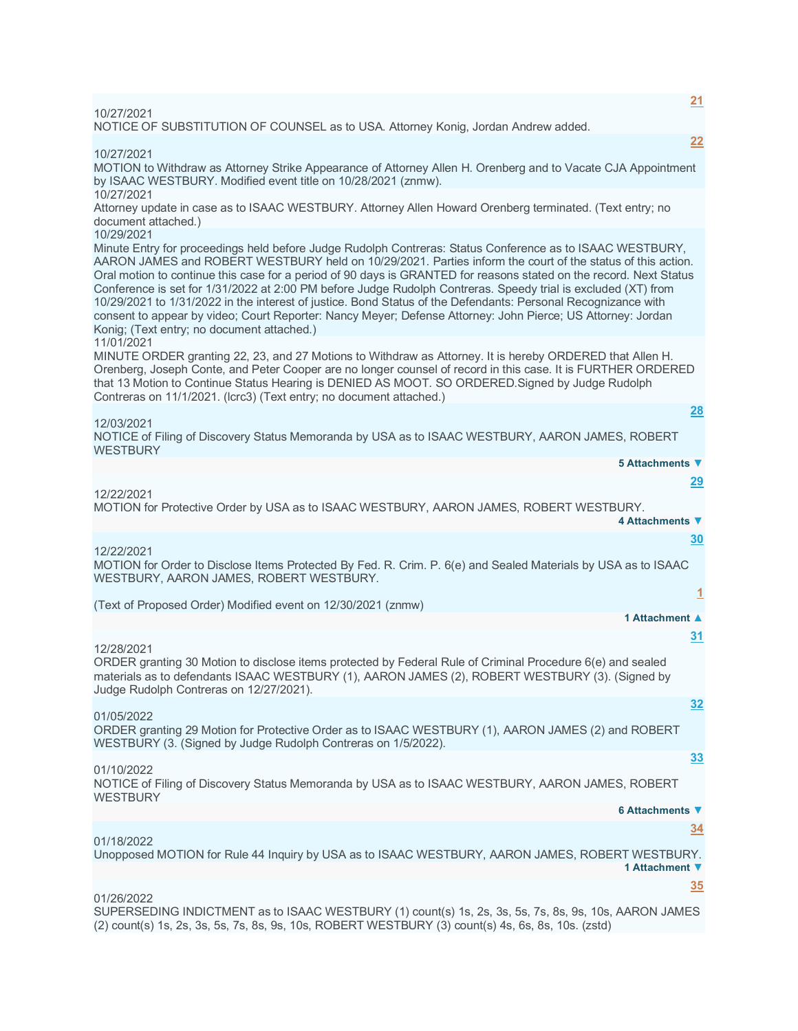# 10/27/2021

NOTICE OF SUBSTITUTION OF COUNSEL as to USA. Attorney Konig, Jordan Andrew added.

10/27/2021

MOTION to Withdraw as Attorney Strike Appearance of Attorney Allen H. Orenberg and to Vacate CJA Appointment by ISAAC WESTBURY. Modified event title on 10/28/2021 (znmw). 10/27/2021

Attorney update in case as to ISAAC WESTBURY. Attorney Allen Howard Orenberg terminated. (Text entry; no document attached.)

# 10/29/2021

Minute Entry for proceedings held before Judge Rudolph Contreras: Status Conference as to ISAAC WESTBURY, AARON JAMES and ROBERT WESTBURY held on 10/29/2021. Parties inform the court of the status of this action. Oral motion to continue this case for a period of 90 days is GRANTED for reasons stated on the record. Next Status Conference is set for 1/31/2022 at 2:00 PM before Judge Rudolph Contreras. Speedy trial is excluded (XT) from 10/29/2021 to 1/31/2022 in the interest of justice. Bond Status of the Defendants: Personal Recognizance with consent to appear by video; Court Reporter: Nancy Meyer; Defense Attorney: John Pierce; US Attorney: Jordan Konig; (Text entry; no document attached.)

## 11/01/2021

MINUTE ORDER granting 22, 23, and 27 Motions to Withdraw as Attorney. It is hereby ORDERED that Allen H. Orenberg, Joseph Conte, and Peter Cooper are no longer counsel of record in this case. It is FURTHER ORDERED that 13 Motion to Continue Status Hearing is DENIED AS MOOT. SO ORDERED.Signed by Judge Rudolph Contreras on 11/1/2021. (Icrc3) (Text entry; no document attached.)

12/03/2021

NOTICE of Filing of Discovery Status Memoranda by USA as to ISAAC WESTBURY, AARON JAMES, ROBERT **WESTBURY 5 Attachments ▼**

12/22/2021

MOTION for Protective Order by USA as to ISAAC WESTBURY, AARON JAMES, ROBERT WESTBURY. **4 Attachments ▼**

12/22/2021

MOTION for Order to Disclose Items Protected By Fed. R. Crim. P. 6(e) and Sealed Materials by USA as to ISAAC WESTBURY, AARON JAMES, ROBERT WESTBURY.

(Text of Proposed Order) Modified event on 12/30/2021 (znmw)

## **1 Attachment ▲**

**[31](javascript:void(0))**

**[32](javascript:void(0))**

**[33](javascript:void(0))**

12/28/2021

ORDER granting 30 Motion to disclose items protected by Federal Rule of Criminal Procedure 6(e) and sealed materials as to defendants ISAAC WESTBURY (1), AARON JAMES (2), ROBERT WESTBURY (3). (Signed by Judge Rudolph Contreras on 12/27/2021).

01/05/2022

ORDER granting 29 Motion for Protective Order as to ISAAC WESTBURY (1), AARON JAMES (2) and ROBERT WESTBURY (3. (Signed by Judge Rudolph Contreras on 1/5/2022).

01/10/2022

NOTICE of Filing of Discovery Status Memoranda by USA as to ISAAC WESTBURY, AARON JAMES, ROBERT **WESTBURY** 

#### **6 Attachments ▼**

**[34](javascript:void(0))**

01/18/2022

Unopposed MOTION for Rule 44 Inquiry by USA as to ISAAC WESTBURY, AARON JAMES, ROBERT WESTBURY. **1 Attachment ▼**

## **[35](javascript:void(0))**

## 01/26/2022

SUPERSEDING INDICTMENT as to ISAAC WESTBURY (1) count(s) 1s, 2s, 3s, 5s, 7s, 8s, 9s, 10s, AARON JAMES (2) count(s) 1s, 2s, 3s, 5s, 7s, 8s, 9s, 10s, ROBERT WESTBURY (3) count(s) 4s, 6s, 8s, 10s. (zstd)

**[21](javascript:void(0))**

**[22](javascript:void(0))**

**[28](javascript:void(0))**

**[29](javascript:void(0))**

**[30](javascript:void(0))**

**[1](javascript:void(0))**